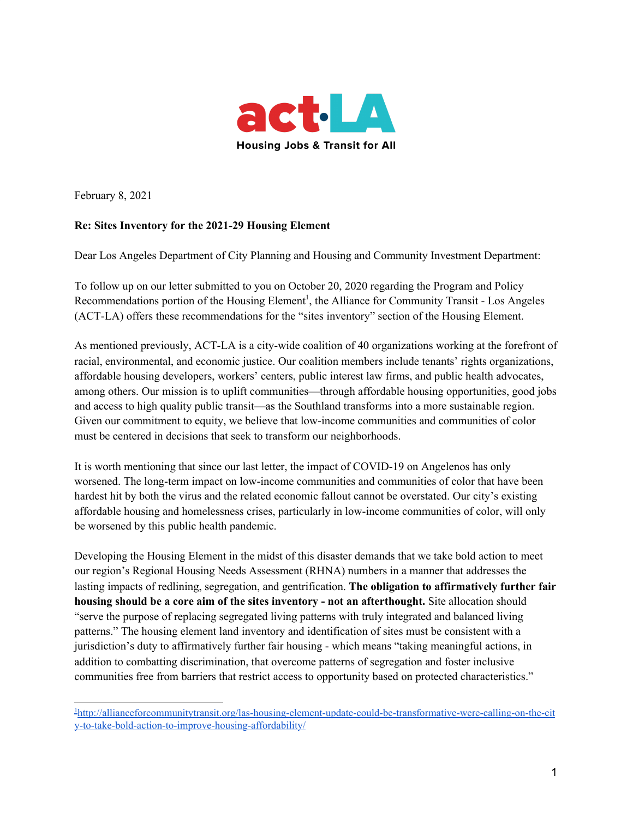

February 8, 2021

### **Re: Sites Inventory for the 2021-29 Housing Element**

Dear Los Angeles Department of City Planning and Housing and Community Investment Department:

To follow up on our letter submitted to you on October 20, 2020 regarding the Program and Policy Recommendations portion of the Housing Element<sup>1</sup>, the Alliance for Community Transit - Los Angeles (ACT-LA) offers these recommendations for the "sites inventory" section of the Housing Element.

As mentioned previously, ACT-LA is a city-wide coalition of 40 organizations working at the forefront of racial, environmental, and economic justice. Our coalition members include tenants' rights organizations, affordable housing developers, workers' centers, public interest law firms, and public health advocates, among others. Our mission is to uplift communities—through affordable housing opportunities, good jobs and access to high quality public transit—as the Southland transforms into a more sustainable region. Given our commitment to equity, we believe that low-income communities and communities of color must be centered in decisions that seek to transform our neighborhoods.

It is worth mentioning that since our last letter, the impact of COVID-19 on Angelenos has only worsened. The long-term impact on low-income communities and communities of color that have been hardest hit by both the virus and the related economic fallout cannot be overstated. Our city's existing affordable housing and homelessness crises, particularly in low-income communities of color, will only be worsened by this public health pandemic.

Developing the Housing Element in the midst of this disaster demands that we take bold action to meet our region's Regional Housing Needs Assessment (RHNA) numbers in a manner that addresses the lasting impacts of redlining, segregation, and gentrification. **The obligation to affirmatively further fair housing should be a core aim of the sites inventory - not an afterthought.** Site allocation should "serve the purpose of replacing segregated living patterns with truly integrated and balanced living patterns." The housing element land inventory and identification of sites must be consistent with a jurisdiction's duty to affirmatively further fair housing - which means "taking meaningful actions, in addition to combatting discrimination, that overcome patterns of segregation and foster inclusive communities free from barriers that restrict access to opportunity based on protected characteristics."

<sup>1</sup>[http://allianceforcommunitytransit.org/las-housing-element-update-could-be-transformative-were-calling-on-the-cit](http://allianceforcommunitytransit.org/las-housing-element-update-could-be-transformative-were-calling-on-the-city-to-take-bold-action-to-improve-housing-affordability/) [y-to-take-bold-action-to-improve-housing-affordability/](http://allianceforcommunitytransit.org/las-housing-element-update-could-be-transformative-were-calling-on-the-city-to-take-bold-action-to-improve-housing-affordability/)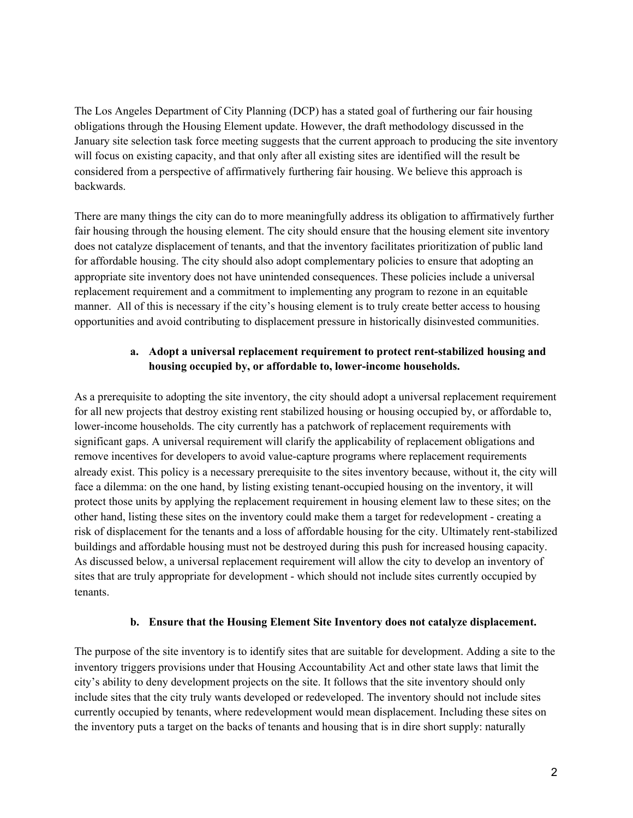The Los Angeles Department of City Planning (DCP) has a stated goal of furthering our fair housing obligations through the Housing Element update. However, the draft methodology discussed in the January site selection task force meeting suggests that the current approach to producing the site inventory will focus on existing capacity, and that only after all existing sites are identified will the result be considered from a perspective of affirmatively furthering fair housing. We believe this approach is backwards.

There are many things the city can do to more meaningfully address its obligation to affirmatively further fair housing through the housing element. The city should ensure that the housing element site inventory does not catalyze displacement of tenants, and that the inventory facilitates prioritization of public land for affordable housing. The city should also adopt complementary policies to ensure that adopting an appropriate site inventory does not have unintended consequences. These policies include a universal replacement requirement and a commitment to implementing any program to rezone in an equitable manner. All of this is necessary if the city's housing element is to truly create better access to housing opportunities and avoid contributing to displacement pressure in historically disinvested communities.

# **a. Adopt a universal replacement requirement to protect rent-stabilized housing and housing occupied by, or affordable to, lower-income households.**

As a prerequisite to adopting the site inventory, the city should adopt a universal replacement requirement for all new projects that destroy existing rent stabilized housing or housing occupied by, or affordable to, lower-income households. The city currently has a patchwork of replacement requirements with significant gaps. A universal requirement will clarify the applicability of replacement obligations and remove incentives for developers to avoid value-capture programs where replacement requirements already exist. This policy is a necessary prerequisite to the sites inventory because, without it, the city will face a dilemma: on the one hand, by listing existing tenant-occupied housing on the inventory, it will protect those units by applying the replacement requirement in housing element law to these sites; on the other hand, listing these sites on the inventory could make them a target for redevelopment - creating a risk of displacement for the tenants and a loss of affordable housing for the city. Ultimately rent-stabilized buildings and affordable housing must not be destroyed during this push for increased housing capacity. As discussed below, a universal replacement requirement will allow the city to develop an inventory of sites that are truly appropriate for development - which should not include sites currently occupied by tenants.

### **b. Ensure that the Housing Element Site Inventory does not catalyze displacement.**

The purpose of the site inventory is to identify sites that are suitable for development. Adding a site to the inventory triggers provisions under that Housing Accountability Act and other state laws that limit the city's ability to deny development projects on the site. It follows that the site inventory should only include sites that the city truly wants developed or redeveloped. The inventory should not include sites currently occupied by tenants, where redevelopment would mean displacement. Including these sites on the inventory puts a target on the backs of tenants and housing that is in dire short supply: naturally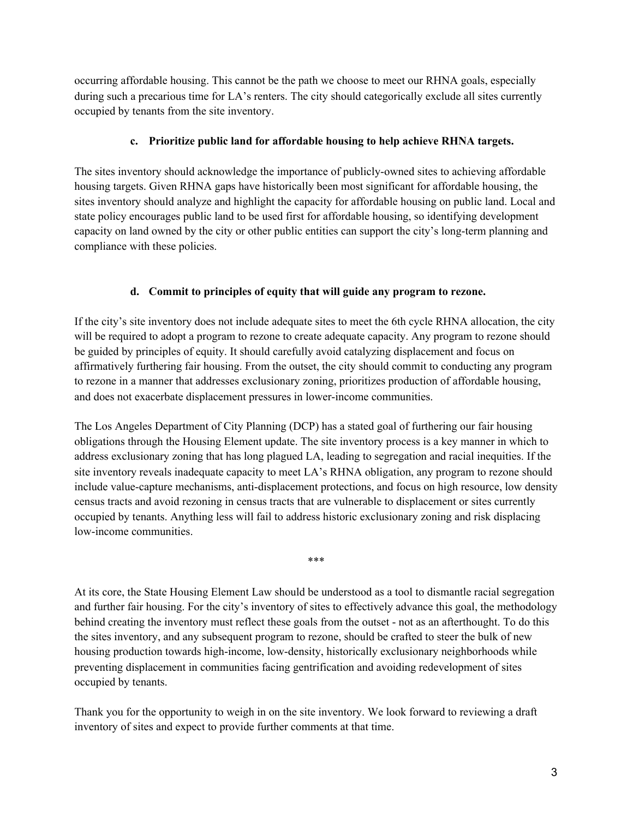occurring affordable housing. This cannot be the path we choose to meet our RHNA goals, especially during such a precarious time for LA's renters. The city should categorically exclude all sites currently occupied by tenants from the site inventory.

# **c. Prioritize public land for affordable housing to help achieve RHNA targets.**

The sites inventory should acknowledge the importance of publicly-owned sites to achieving affordable housing targets. Given RHNA gaps have historically been most significant for affordable housing, the sites inventory should analyze and highlight the capacity for affordable housing on public land. Local and state policy encourages public land to be used first for affordable housing, so identifying development capacity on land owned by the city or other public entities can support the city's long-term planning and compliance with these policies.

# **d. Commit to principles of equity that will guide any program to rezone.**

If the city's site inventory does not include adequate sites to meet the 6th cycle RHNA allocation, the city will be required to adopt a program to rezone to create adequate capacity. Any program to rezone should be guided by principles of equity. It should carefully avoid catalyzing displacement and focus on affirmatively furthering fair housing. From the outset, the city should commit to conducting any program to rezone in a manner that addresses exclusionary zoning, prioritizes production of affordable housing, and does not exacerbate displacement pressures in lower-income communities.

The Los Angeles Department of City Planning (DCP) has a stated goal of furthering our fair housing obligations through the Housing Element update. The site inventory process is a key manner in which to address exclusionary zoning that has long plagued LA, leading to segregation and racial inequities. If the site inventory reveals inadequate capacity to meet LA's RHNA obligation, any program to rezone should include value-capture mechanisms, anti-displacement protections, and focus on high resource, low density census tracts and avoid rezoning in census tracts that are vulnerable to displacement or sites currently occupied by tenants. Anything less will fail to address historic exclusionary zoning and risk displacing low-income communities.

\*\*\*

At its core, the State Housing Element Law should be understood as a tool to dismantle racial segregation and further fair housing. For the city's inventory of sites to effectively advance this goal, the methodology behind creating the inventory must reflect these goals from the outset - not as an afterthought. To do this the sites inventory, and any subsequent program to rezone, should be crafted to steer the bulk of new housing production towards high-income, low-density, historically exclusionary neighborhoods while preventing displacement in communities facing gentrification and avoiding redevelopment of sites occupied by tenants.

Thank you for the opportunity to weigh in on the site inventory. We look forward to reviewing a draft inventory of sites and expect to provide further comments at that time.